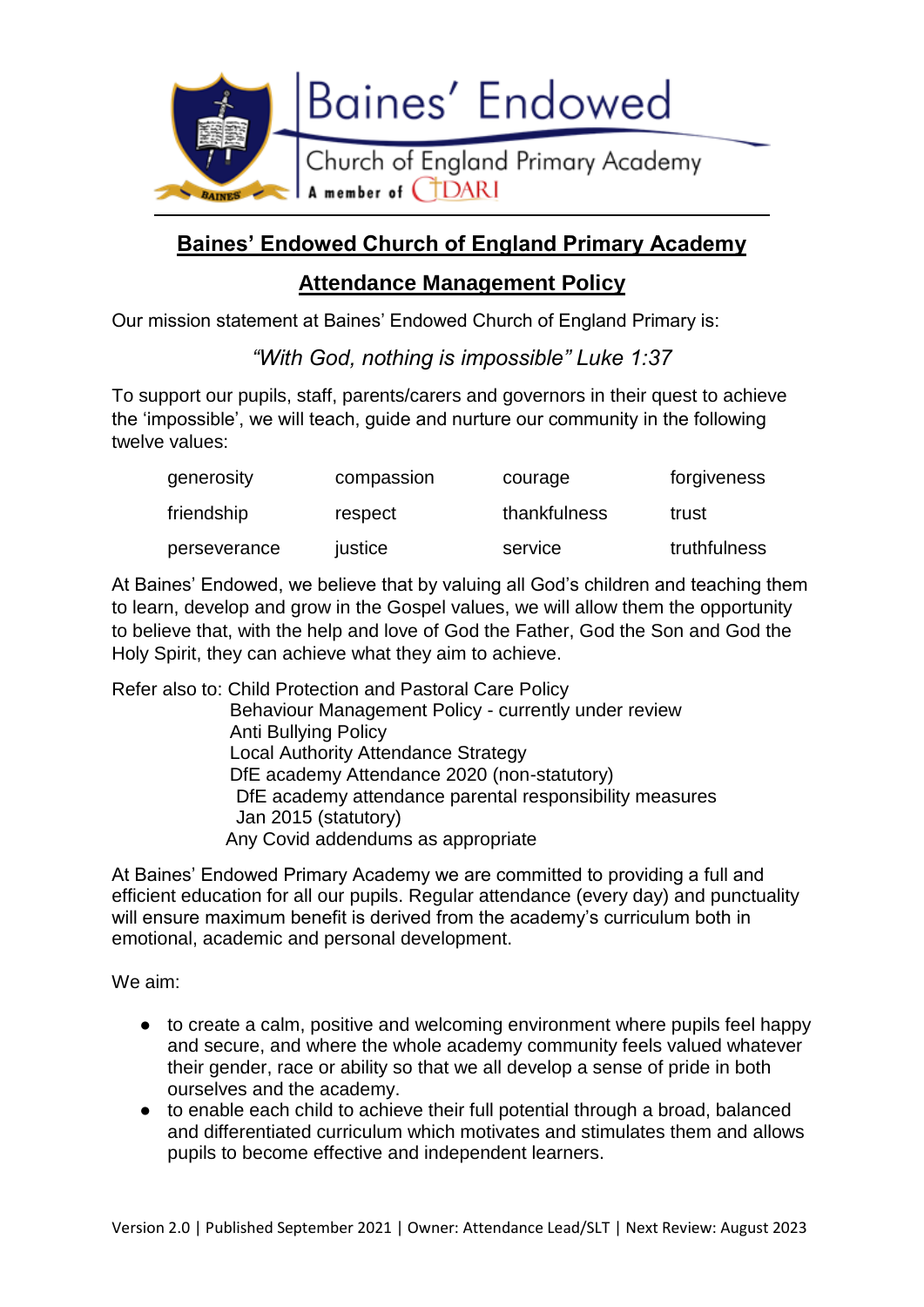

# **Baines' Endowed Church of England Primary Academy**

# **Attendance Management Policy**

Our mission statement at Baines' Endowed Church of England Primary is:

*"With God, nothing is impossible" Luke 1:37*

To support our pupils, staff, parents/carers and governors in their quest to achieve the 'impossible', we will teach, guide and nurture our community in the following twelve values:

| generosity   | compassion | courage      | forgiveness  |
|--------------|------------|--------------|--------------|
| friendship   | respect    | thankfulness | trust        |
| perseverance | justice    | service      | truthfulness |

At Baines' Endowed, we believe that by valuing all God's children and teaching them to learn, develop and grow in the Gospel values, we will allow them the opportunity to believe that, with the help and love of God the Father, God the Son and God the Holy Spirit, they can achieve what they aim to achieve.

Refer also to: Child Protection and Pastoral Care Policy Behaviour Management Policy - currently under review Anti Bullying Policy Local Authority Attendance Strategy DfE academy Attendance 2020 (non-statutory) DfE academy attendance parental responsibility measures Jan 2015 (statutory) Any Covid addendums as appropriate

At Baines' Endowed Primary Academy we are committed to providing a full and efficient education for all our pupils. Regular attendance (every day) and punctuality will ensure maximum benefit is derived from the academy's curriculum both in emotional, academic and personal development.

We aim:

- to create a calm, positive and welcoming environment where pupils feel happy and secure, and where the whole academy community feels valued whatever their gender, race or ability so that we all develop a sense of pride in both ourselves and the academy.
- to enable each child to achieve their full potential through a broad, balanced and differentiated curriculum which motivates and stimulates them and allows pupils to become effective and independent learners.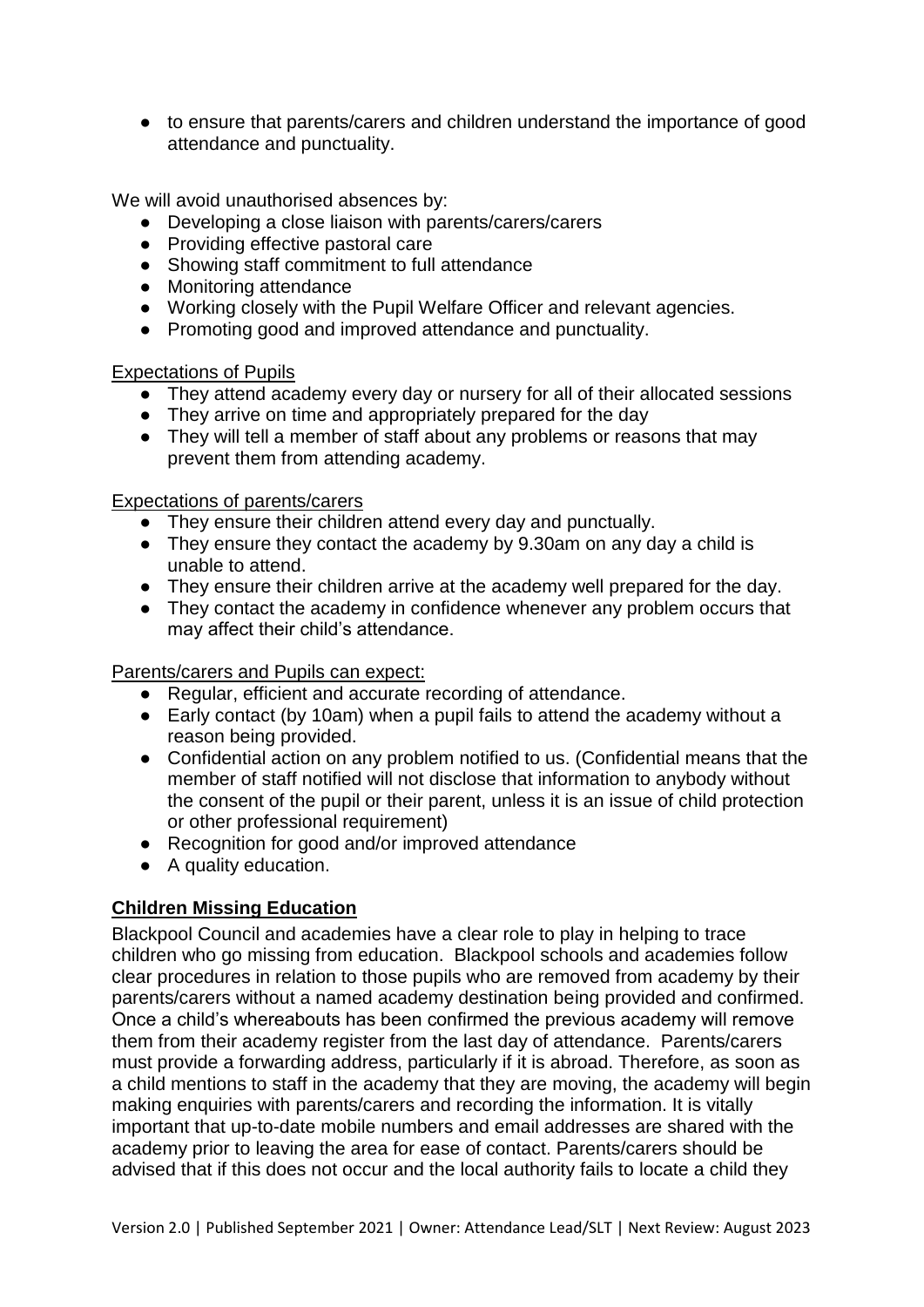● to ensure that parents/carers and children understand the importance of good attendance and punctuality.

We will avoid unauthorised absences by:

- Developing a close liaison with parents/carers/carers
- Providing effective pastoral care
- Showing staff commitment to full attendance
- Monitoring attendance
- Working closely with the Pupil Welfare Officer and relevant agencies.
- Promoting good and improved attendance and punctuality.

# Expectations of Pupils

- They attend academy every day or nursery for all of their allocated sessions
- They arrive on time and appropriately prepared for the day
- They will tell a member of staff about any problems or reasons that may prevent them from attending academy.

Expectations of parents/carers

- They ensure their children attend every day and punctually.
- They ensure they contact the academy by 9.30am on any day a child is unable to attend.
- They ensure their children arrive at the academy well prepared for the day.
- They contact the academy in confidence whenever any problem occurs that may affect their child's attendance.

Parents/carers and Pupils can expect:

- Regular, efficient and accurate recording of attendance.
- Early contact (by 10am) when a pupil fails to attend the academy without a reason being provided.
- Confidential action on any problem notified to us. (Confidential means that the member of staff notified will not disclose that information to anybody without the consent of the pupil or their parent, unless it is an issue of child protection or other professional requirement)
- Recognition for good and/or improved attendance
- A quality education.

# **Children Missing Education**

Blackpool Council and academies have a clear role to play in helping to trace children who go missing from education. Blackpool schools and academies follow clear procedures in relation to those pupils who are removed from academy by their parents/carers without a named academy destination being provided and confirmed. Once a child's whereabouts has been confirmed the previous academy will remove them from their academy register from the last day of attendance. Parents/carers must provide a forwarding address, particularly if it is abroad. Therefore, as soon as a child mentions to staff in the academy that they are moving, the academy will begin making enquiries with parents/carers and recording the information. It is vitally important that up-to-date mobile numbers and email addresses are shared with the academy prior to leaving the area for ease of contact. Parents/carers should be advised that if this does not occur and the local authority fails to locate a child they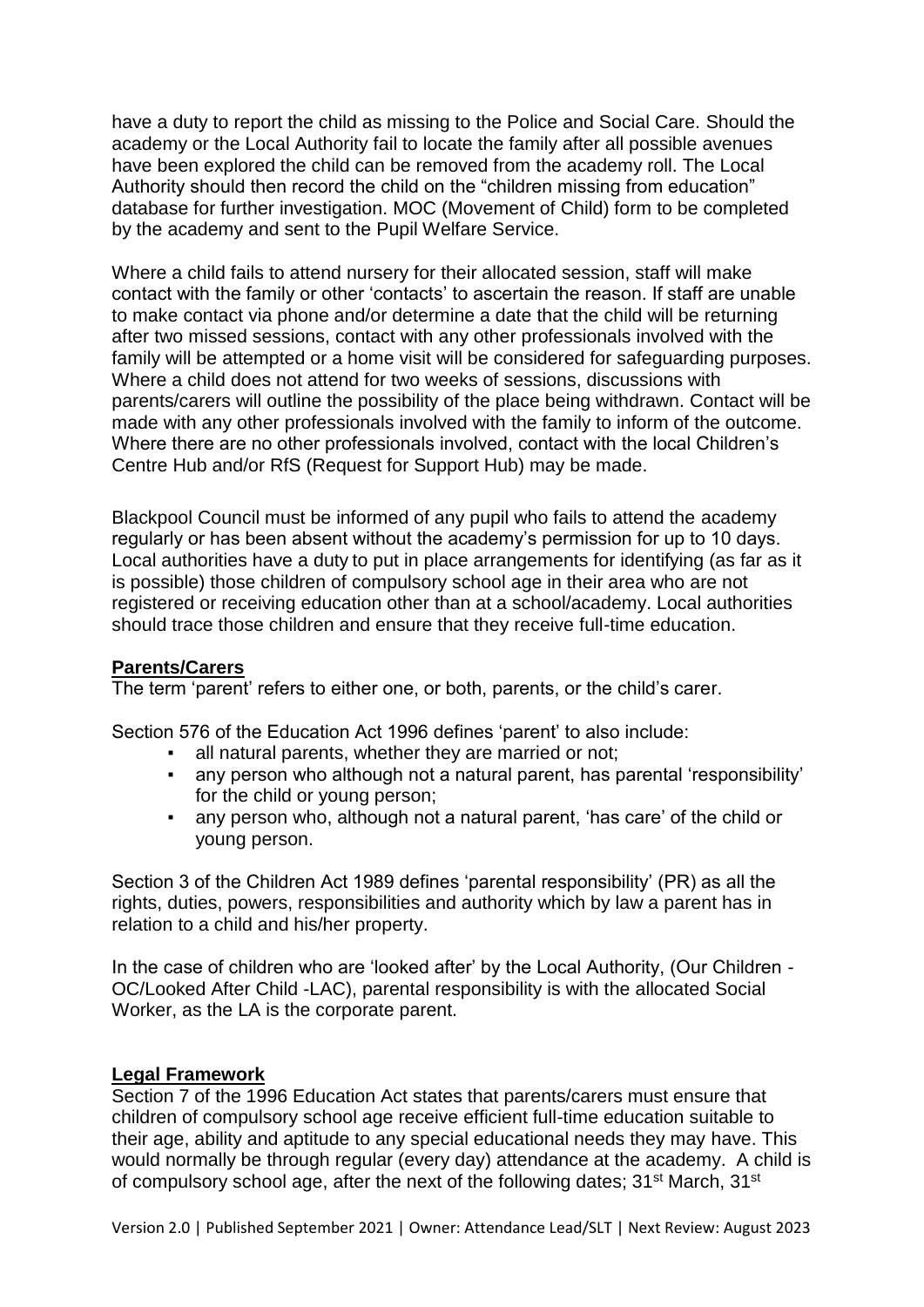have a duty to report the child as missing to the Police and Social Care. Should the academy or the Local Authority fail to locate the family after all possible avenues have been explored the child can be removed from the academy roll. The Local Authority should then record the child on the "children missing from education" database for further investigation. MOC (Movement of Child) form to be completed by the academy and sent to the Pupil Welfare Service.

Where a child fails to attend nursery for their allocated session, staff will make contact with the family or other 'contacts' to ascertain the reason. If staff are unable to make contact via phone and/or determine a date that the child will be returning after two missed sessions, contact with any other professionals involved with the family will be attempted or a home visit will be considered for safeguarding purposes. Where a child does not attend for two weeks of sessions, discussions with parents/carers will outline the possibility of the place being withdrawn. Contact will be made with any other professionals involved with the family to inform of the outcome. Where there are no other professionals involved, contact with the local Children's Centre Hub and/or RfS (Request for Support Hub) may be made.

Blackpool Council must be informed of any pupil who fails to attend the academy regularly or has been absent without the academy's permission for up to 10 days. Local authorities have a duty to put in place arrangements for identifying (as far as it is possible) those children of compulsory school age in their area who are not registered or receiving education other than at a school/academy. Local authorities should trace those children and ensure that they receive full-time education.

# **Parents/Carers**

The term 'parent' refers to either one, or both, parents, or the child's carer.

Section 576 of the Education Act 1996 defines 'parent' to also include:

- all natural parents, whether they are married or not;
- **EXECT** any person who although not a natural parent, has parental 'responsibility' for the child or young person;
- any person who, although not a natural parent, 'has care' of the child or young person.

Section 3 of the Children Act 1989 defines 'parental responsibility' (PR) as all the rights, duties, powers, responsibilities and authority which by law a parent has in relation to a child and his/her property.

In the case of children who are 'looked after' by the Local Authority, (Our Children -OC/Looked After Child -LAC), parental responsibility is with the allocated Social Worker, as the LA is the corporate parent.

# **Legal Framework**

Section 7 of the 1996 Education Act states that parents/carers must ensure that children of compulsory school age receive efficient full-time education suitable to their age, ability and aptitude to any special educational needs they may have. This would normally be through regular (every day) attendance at the academy. A child is of compulsory school age, after the next of the following dates; 31<sup>st</sup> March, 31<sup>st</sup>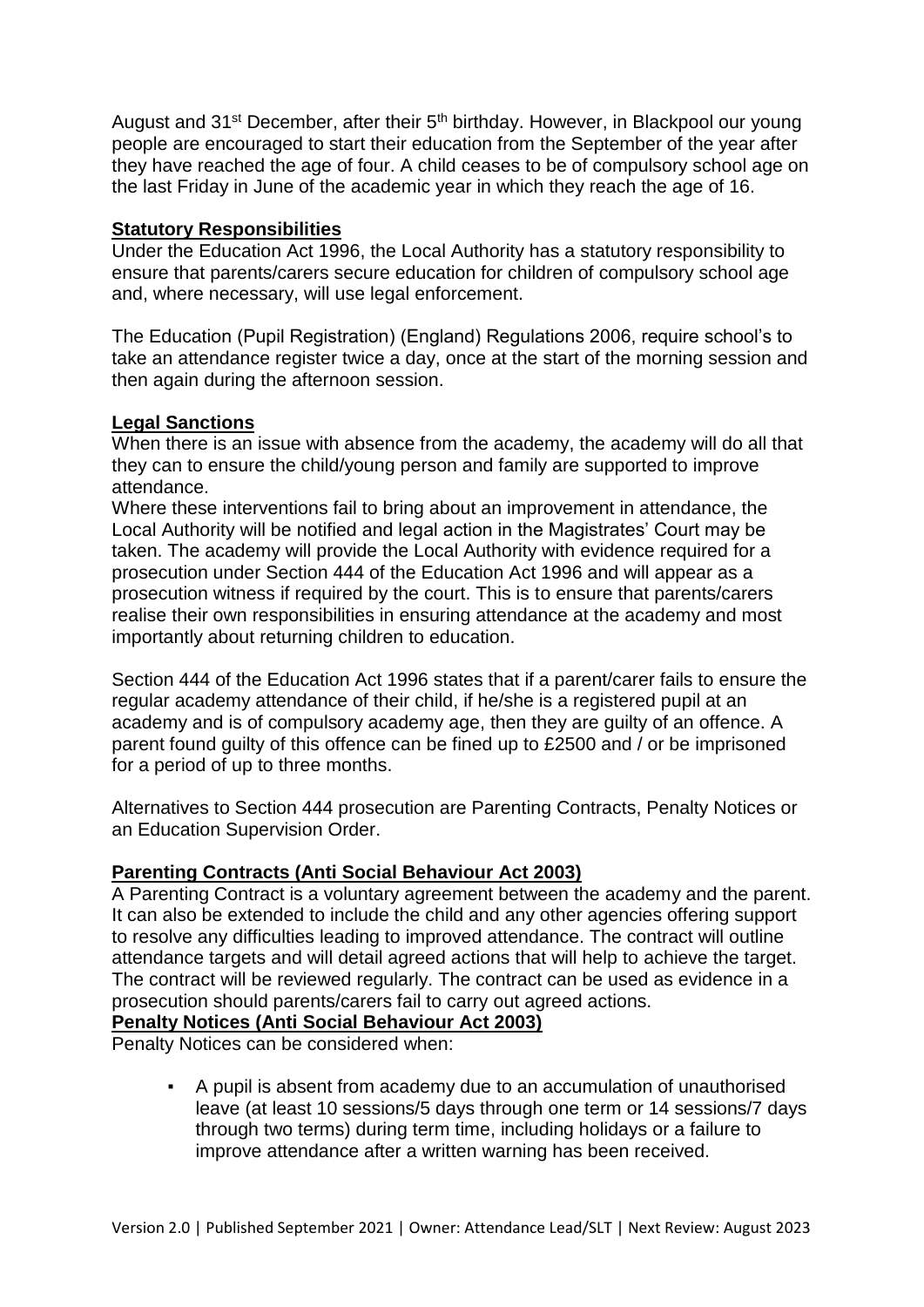August and 31<sup>st</sup> December, after their 5<sup>th</sup> birthday. However, in Blackpool our young people are encouraged to start their education from the September of the year after they have reached the age of four. A child ceases to be of compulsory school age on the last Friday in June of the academic year in which they reach the age of 16.

# **Statutory Responsibilities**

Under the Education Act 1996, the Local Authority has a statutory responsibility to ensure that parents/carers secure education for children of compulsory school age and, where necessary, will use legal enforcement.

The Education (Pupil Registration) (England) Regulations 2006, require school's to take an attendance register twice a day, once at the start of the morning session and then again during the afternoon session.

# **Legal Sanctions**

When there is an issue with absence from the academy, the academy will do all that they can to ensure the child/young person and family are supported to improve attendance.

Where these interventions fail to bring about an improvement in attendance, the Local Authority will be notified and legal action in the Magistrates' Court may be taken. The academy will provide the Local Authority with evidence required for a prosecution under Section 444 of the Education Act 1996 and will appear as a prosecution witness if required by the court. This is to ensure that parents/carers realise their own responsibilities in ensuring attendance at the academy and most importantly about returning children to education.

Section 444 of the Education Act 1996 states that if a parent/carer fails to ensure the regular academy attendance of their child, if he/she is a registered pupil at an academy and is of compulsory academy age, then they are guilty of an offence. A parent found guilty of this offence can be fined up to £2500 and / or be imprisoned for a period of up to three months.

Alternatives to Section 444 prosecution are Parenting Contracts, Penalty Notices or an Education Supervision Order.

# **Parenting Contracts (Anti Social Behaviour Act 2003)**

A Parenting Contract is a voluntary agreement between the academy and the parent. It can also be extended to include the child and any other agencies offering support to resolve any difficulties leading to improved attendance. The contract will outline attendance targets and will detail agreed actions that will help to achieve the target. The contract will be reviewed regularly. The contract can be used as evidence in a prosecution should parents/carers fail to carry out agreed actions.

# **Penalty Notices (Anti Social Behaviour Act 2003)**

Penalty Notices can be considered when:

A pupil is absent from academy due to an accumulation of unauthorised leave (at least 10 sessions/5 days through one term or 14 sessions/7 days through two terms) during term time, including holidays or a failure to improve attendance after a written warning has been received.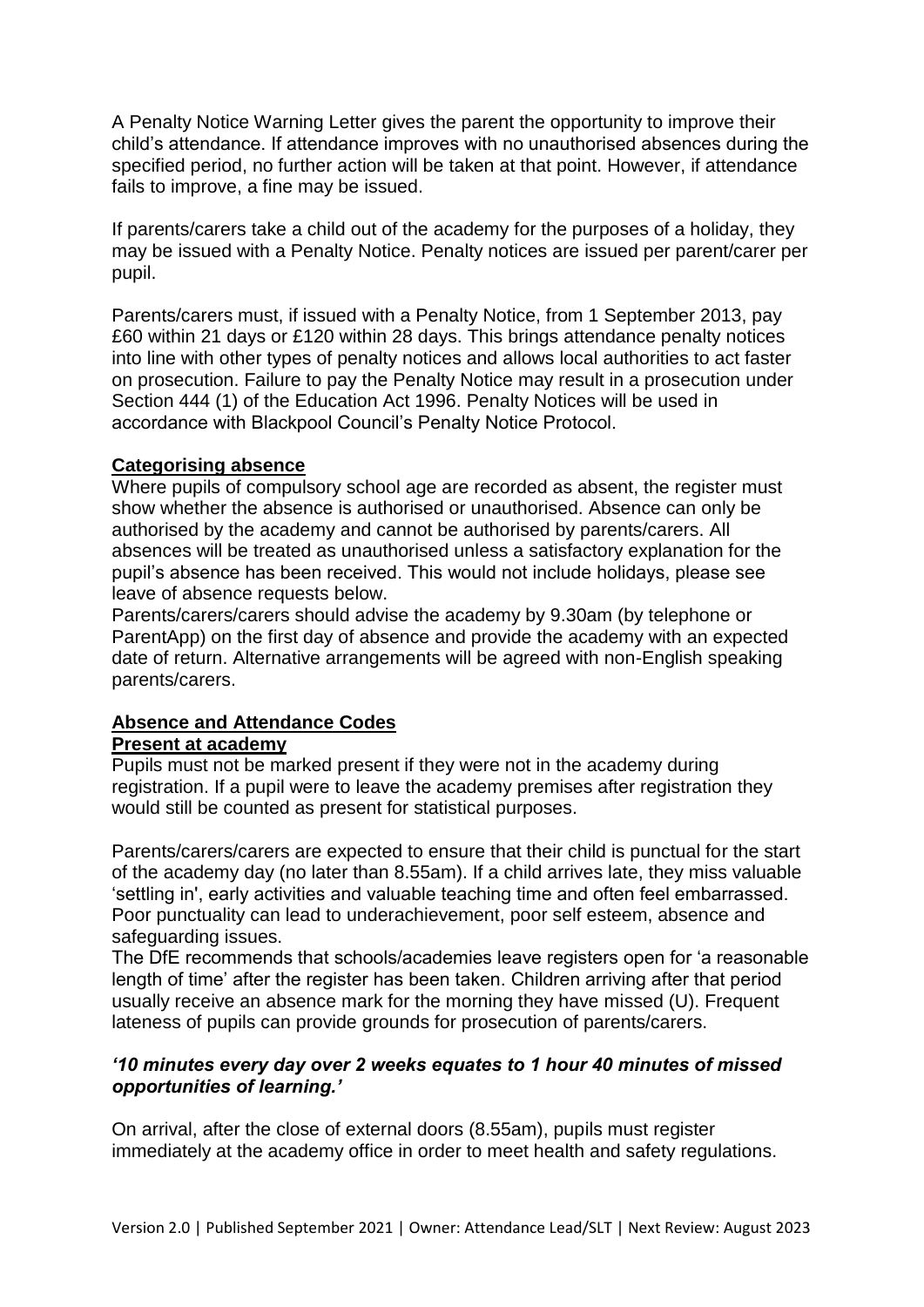A Penalty Notice Warning Letter gives the parent the opportunity to improve their child's attendance. If attendance improves with no unauthorised absences during the specified period, no further action will be taken at that point. However, if attendance fails to improve, a fine may be issued.

If parents/carers take a child out of the academy for the purposes of a holiday, they may be issued with a Penalty Notice. Penalty notices are issued per parent/carer per pupil.

Parents/carers must, if issued with a Penalty Notice, from 1 September 2013, pay £60 within 21 days or £120 within 28 days. This brings attendance penalty notices into line with other types of penalty notices and allows local authorities to act faster on prosecution. Failure to pay the Penalty Notice may result in a prosecution under Section 444 (1) of the Education Act 1996. Penalty Notices will be used in accordance with Blackpool Council's Penalty Notice Protocol.

#### **Categorising absence**

Where pupils of compulsory school age are recorded as absent, the register must show whether the absence is authorised or unauthorised. Absence can only be authorised by the academy and cannot be authorised by parents/carers. All absences will be treated as unauthorised unless a satisfactory explanation for the pupil's absence has been received. This would not include holidays, please see leave of absence requests below.

Parents/carers/carers should advise the academy by 9.30am (by telephone or ParentApp) on the first day of absence and provide the academy with an expected date of return. Alternative arrangements will be agreed with non-English speaking parents/carers.

# **Absence and Attendance Codes**

#### **Present at academy**

Pupils must not be marked present if they were not in the academy during registration. If a pupil were to leave the academy premises after registration they would still be counted as present for statistical purposes.

Parents/carers/carers are expected to ensure that their child is punctual for the start of the academy day (no later than 8.55am). If a child arrives late, they miss valuable 'settling in', early activities and valuable teaching time and often feel embarrassed. Poor punctuality can lead to underachievement, poor self esteem, absence and safeguarding issues.

The DfE recommends that schools/academies leave registers open for 'a reasonable length of time' after the register has been taken. Children arriving after that period usually receive an absence mark for the morning they have missed (U). Frequent lateness of pupils can provide grounds for prosecution of parents/carers.

# *'10 minutes every day over 2 weeks equates to 1 hour 40 minutes of missed opportunities of learning.'*

On arrival, after the close of external doors (8.55am), pupils must register immediately at the academy office in order to meet health and safety regulations.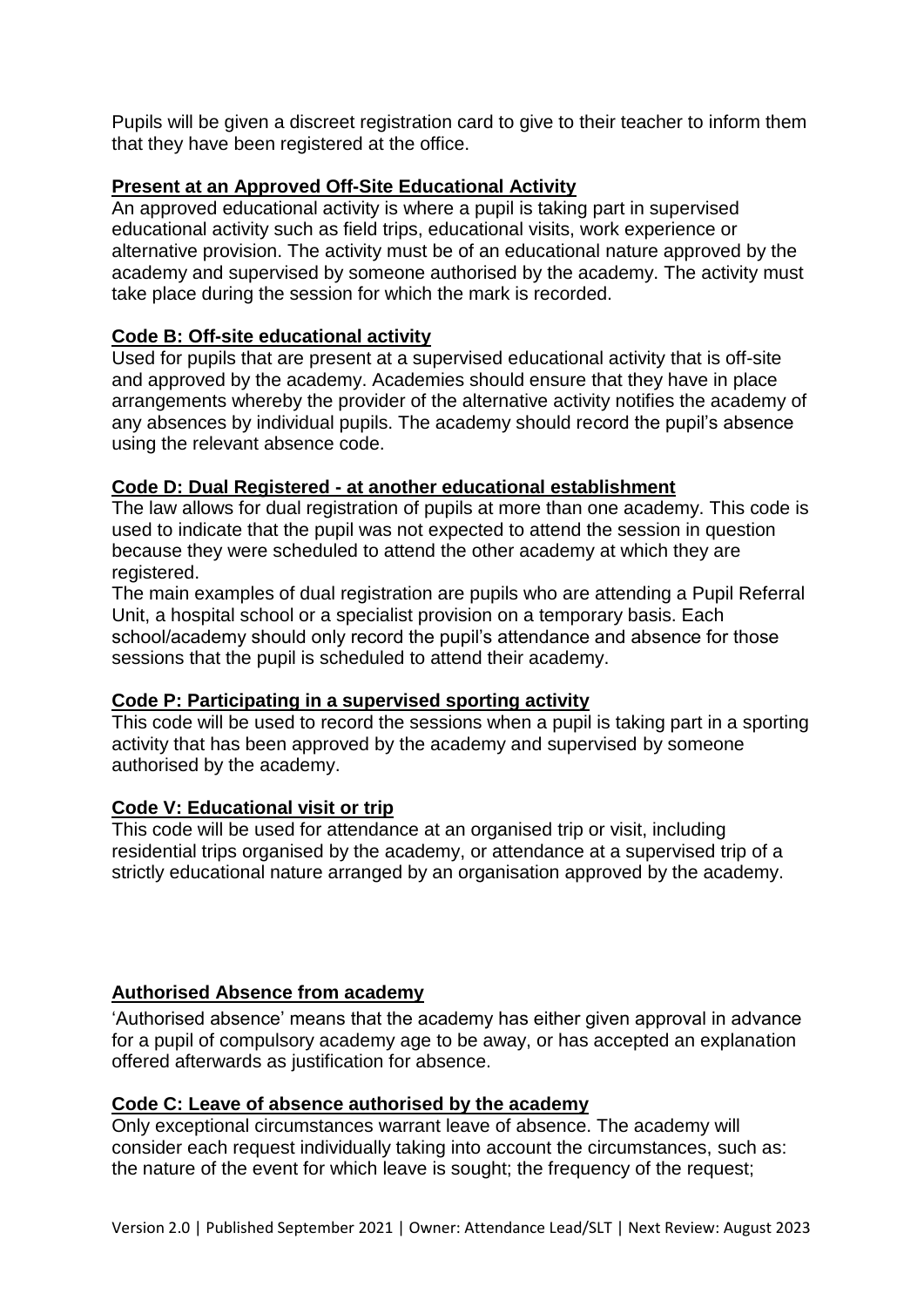Pupils will be given a discreet registration card to give to their teacher to inform them that they have been registered at the office.

# **Present at an Approved Off-Site Educational Activity**

An approved educational activity is where a pupil is taking part in supervised educational activity such as field trips, educational visits, work experience or alternative provision. The activity must be of an educational nature approved by the academy and supervised by someone authorised by the academy. The activity must take place during the session for which the mark is recorded.

# **Code B: Off-site educational activity**

Used for pupils that are present at a supervised educational activity that is off-site and approved by the academy. Academies should ensure that they have in place arrangements whereby the provider of the alternative activity notifies the academy of any absences by individual pupils. The academy should record the pupil's absence using the relevant absence code.

# **Code D: Dual Registered - at another educational establishment**

The law allows for dual registration of pupils at more than one academy. This code is used to indicate that the pupil was not expected to attend the session in question because they were scheduled to attend the other academy at which they are registered.

The main examples of dual registration are pupils who are attending a Pupil Referral Unit, a hospital school or a specialist provision on a temporary basis. Each school/academy should only record the pupil's attendance and absence for those sessions that the pupil is scheduled to attend their academy.

# **Code P: Participating in a supervised sporting activity**

This code will be used to record the sessions when a pupil is taking part in a sporting activity that has been approved by the academy and supervised by someone authorised by the academy.

# **Code V: Educational visit or trip**

This code will be used for attendance at an organised trip or visit, including residential trips organised by the academy, or attendance at a supervised trip of a strictly educational nature arranged by an organisation approved by the academy.

# **Authorised Absence from academy**

'Authorised absence' means that the academy has either given approval in advance for a pupil of compulsory academy age to be away, or has accepted an explanation offered afterwards as justification for absence.

# **Code C: Leave of absence authorised by the academy**

Only exceptional circumstances warrant leave of absence. The academy will consider each request individually taking into account the circumstances, such as: the nature of the event for which leave is sought; the frequency of the request;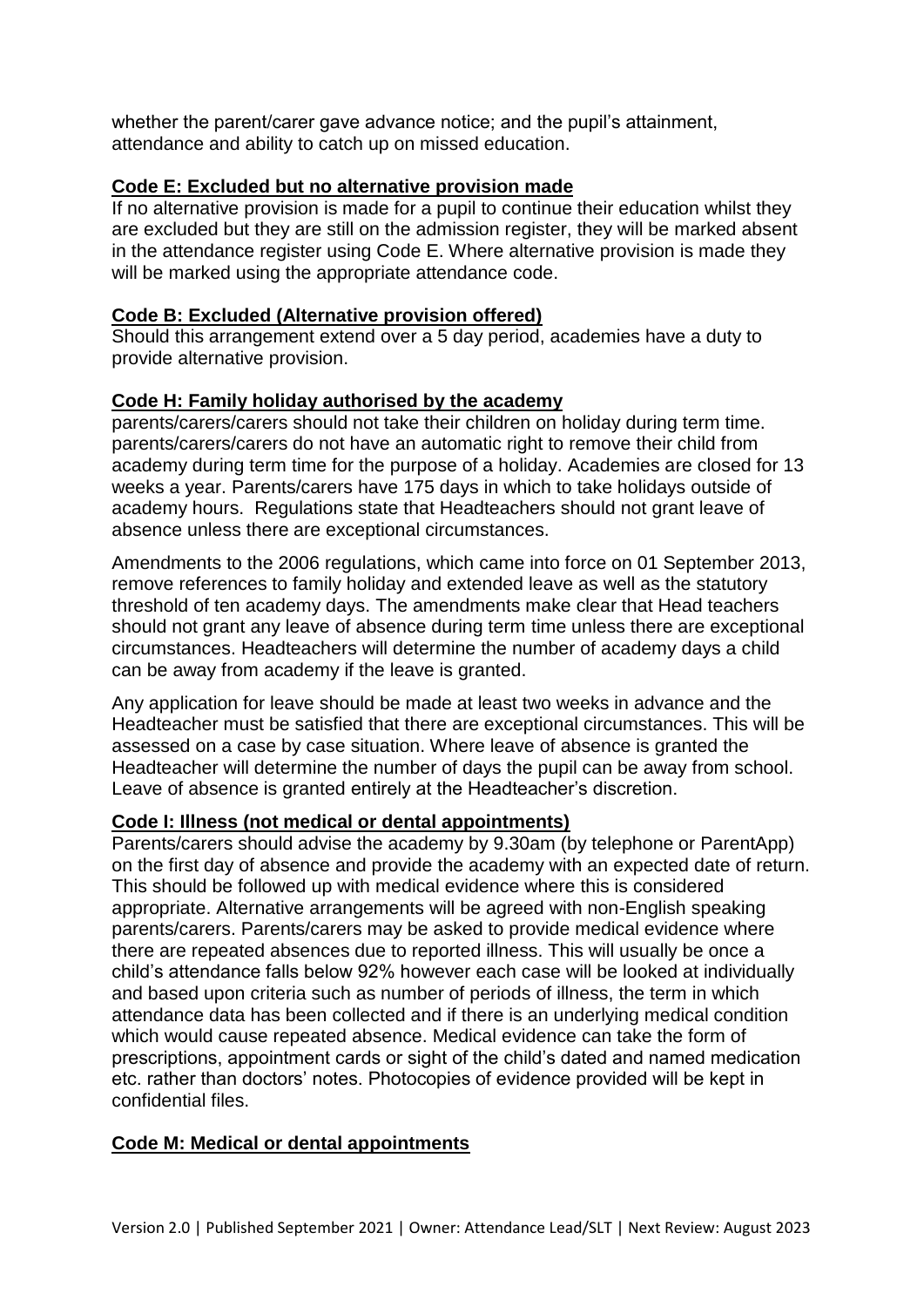whether the parent/carer gave advance notice; and the pupil's attainment, attendance and ability to catch up on missed education.

# **Code E: Excluded but no alternative provision made**

If no alternative provision is made for a pupil to continue their education whilst they are excluded but they are still on the admission register, they will be marked absent in the attendance register using Code E. Where alternative provision is made they will be marked using the appropriate attendance code.

# **Code B: Excluded (Alternative provision offered)**

Should this arrangement extend over a 5 day period, academies have a duty to provide alternative provision.

# **Code H: Family holiday authorised by the academy**

parents/carers/carers should not take their children on holiday during term time. parents/carers/carers do not have an automatic right to remove their child from academy during term time for the purpose of a holiday. Academies are closed for 13 weeks a year. Parents/carers have 175 days in which to take holidays outside of academy hours. Regulations state that Headteachers should not grant leave of absence unless there are exceptional circumstances.

Amendments to the 2006 regulations, which came into force on 01 September 2013, remove references to family holiday and extended leave as well as the statutory threshold of ten academy days. The amendments make clear that Head teachers should not grant any leave of absence during term time unless there are exceptional circumstances. Headteachers will determine the number of academy days a child can be away from academy if the leave is granted.

Any application for leave should be made at least two weeks in advance and the Headteacher must be satisfied that there are exceptional circumstances. This will be assessed on a case by case situation. Where leave of absence is granted the Headteacher will determine the number of days the pupil can be away from school. Leave of absence is granted entirely at the Headteacher's discretion.

# **Code I: Illness (not medical or dental appointments)**

Parents/carers should advise the academy by 9.30am (by telephone or ParentApp) on the first day of absence and provide the academy with an expected date of return. This should be followed up with medical evidence where this is considered appropriate. Alternative arrangements will be agreed with non-English speaking parents/carers. Parents/carers may be asked to provide medical evidence where there are repeated absences due to reported illness. This will usually be once a child's attendance falls below 92% however each case will be looked at individually and based upon criteria such as number of periods of illness, the term in which attendance data has been collected and if there is an underlying medical condition which would cause repeated absence. Medical evidence can take the form of prescriptions, appointment cards or sight of the child's dated and named medication etc. rather than doctors' notes. Photocopies of evidence provided will be kept in confidential files.

# **Code M: Medical or dental appointments**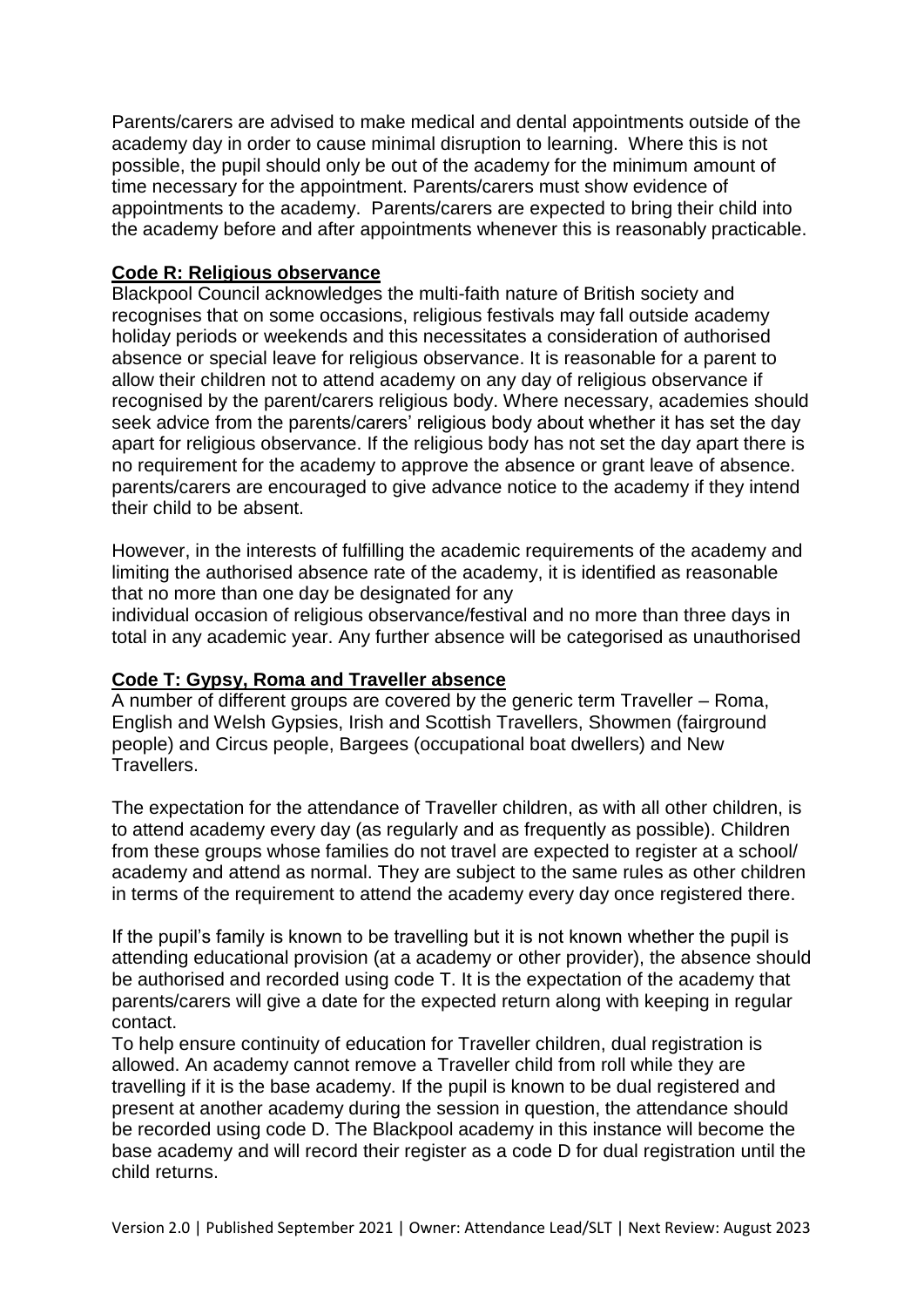Parents/carers are advised to make medical and dental appointments outside of the academy day in order to cause minimal disruption to learning. Where this is not possible, the pupil should only be out of the academy for the minimum amount of time necessary for the appointment. Parents/carers must show evidence of appointments to the academy. Parents/carers are expected to bring their child into the academy before and after appointments whenever this is reasonably practicable.

# **Code R: Religious observance**

Blackpool Council acknowledges the multi-faith nature of British society and recognises that on some occasions, religious festivals may fall outside academy holiday periods or weekends and this necessitates a consideration of authorised absence or special leave for religious observance. It is reasonable for a parent to allow their children not to attend academy on any day of religious observance if recognised by the parent/carers religious body. Where necessary, academies should seek advice from the parents/carers' religious body about whether it has set the day apart for religious observance. If the religious body has not set the day apart there is no requirement for the academy to approve the absence or grant leave of absence. parents/carers are encouraged to give advance notice to the academy if they intend their child to be absent.

However, in the interests of fulfilling the academic requirements of the academy and limiting the authorised absence rate of the academy, it is identified as reasonable that no more than one day be designated for any

individual occasion of religious observance/festival and no more than three days in total in any academic year. Any further absence will be categorised as unauthorised

# **Code T: Gypsy, Roma and Traveller absence**

A number of different groups are covered by the generic term Traveller – Roma, English and Welsh Gypsies, Irish and Scottish Travellers, Showmen (fairground people) and Circus people, Bargees (occupational boat dwellers) and New Travellers.

The expectation for the attendance of Traveller children, as with all other children, is to attend academy every day (as regularly and as frequently as possible). Children from these groups whose families do not travel are expected to register at a school/ academy and attend as normal. They are subject to the same rules as other children in terms of the requirement to attend the academy every day once registered there.

If the pupil's family is known to be travelling but it is not known whether the pupil is attending educational provision (at a academy or other provider), the absence should be authorised and recorded using code T. It is the expectation of the academy that parents/carers will give a date for the expected return along with keeping in regular contact.

To help ensure continuity of education for Traveller children, dual registration is allowed. An academy cannot remove a Traveller child from roll while they are travelling if it is the base academy. If the pupil is known to be dual registered and present at another academy during the session in question, the attendance should be recorded using code D. The Blackpool academy in this instance will become the base academy and will record their register as a code D for dual registration until the child returns.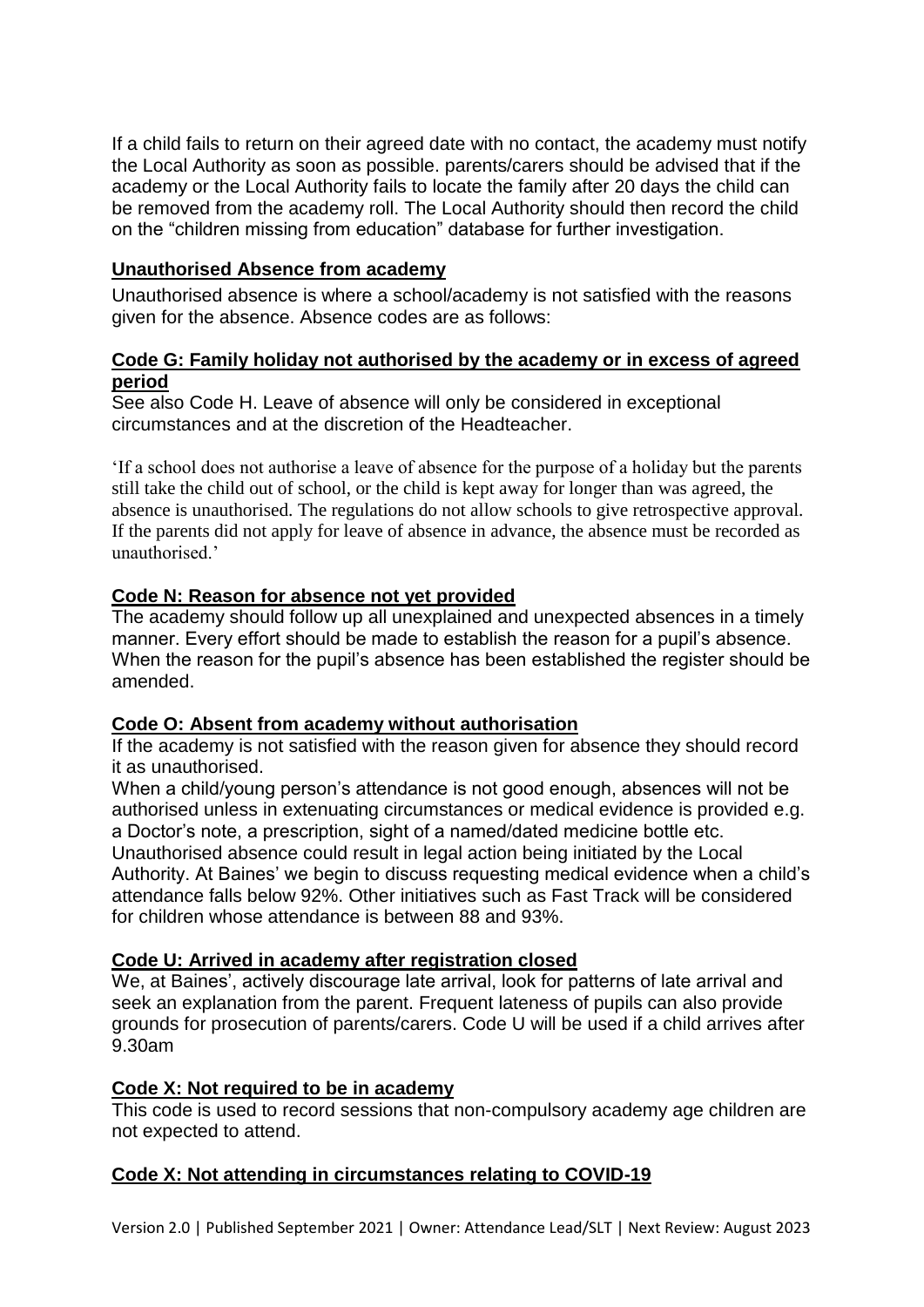If a child fails to return on their agreed date with no contact, the academy must notify the Local Authority as soon as possible. parents/carers should be advised that if the academy or the Local Authority fails to locate the family after 20 days the child can be removed from the academy roll. The Local Authority should then record the child on the "children missing from education" database for further investigation.

# **Unauthorised Absence from academy**

Unauthorised absence is where a school/academy is not satisfied with the reasons given for the absence. Absence codes are as follows:

# **Code G: Family holiday not authorised by the academy or in excess of agreed period**

See also Code H. Leave of absence will only be considered in exceptional circumstances and at the discretion of the Headteacher.

'If a school does not authorise a leave of absence for the purpose of a holiday but the parents still take the child out of school, or the child is kept away for longer than was agreed, the absence is unauthorised. The regulations do not allow schools to give retrospective approval. If the parents did not apply for leave of absence in advance, the absence must be recorded as unauthorised.'

# **Code N: Reason for absence not yet provided**

The academy should follow up all unexplained and unexpected absences in a timely manner. Every effort should be made to establish the reason for a pupil's absence. When the reason for the pupil's absence has been established the register should be amended.

# **Code O: Absent from academy without authorisation**

If the academy is not satisfied with the reason given for absence they should record it as unauthorised.

When a child/young person's attendance is not good enough, absences will not be authorised unless in extenuating circumstances or medical evidence is provided e.g. a Doctor's note, a prescription, sight of a named/dated medicine bottle etc. Unauthorised absence could result in legal action being initiated by the Local Authority. At Baines' we begin to discuss requesting medical evidence when a child's attendance falls below 92%. Other initiatives such as Fast Track will be considered

for children whose attendance is between 88 and 93%.

# **Code U: Arrived in academy after registration closed**

We, at Baines', actively discourage late arrival, look for patterns of late arrival and seek an explanation from the parent. Frequent lateness of pupils can also provide grounds for prosecution of parents/carers. Code U will be used if a child arrives after 9.30am

# **Code X: Not required to be in academy**

This code is used to record sessions that non-compulsory academy age children are not expected to attend.

# **Code X: Not attending in circumstances relating to COVID-19**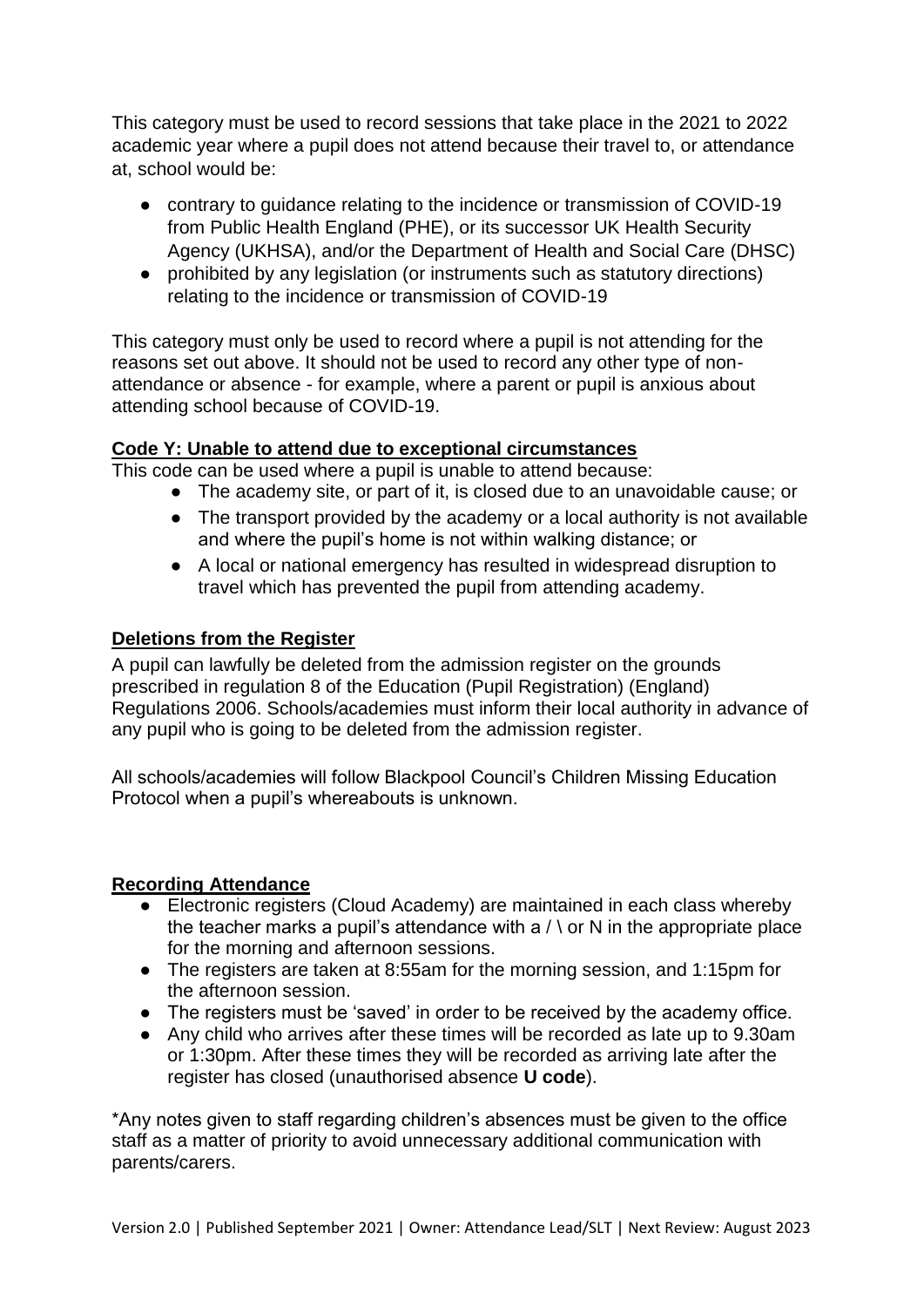This category must be used to record sessions that take place in the 2021 to 2022 academic year where a pupil does not attend because their travel to, or attendance at, school would be:

- contrary to guidance relating to the incidence or transmission of COVID-19 from Public Health England (PHE), or its successor UK Health Security Agency (UKHSA), and/or the Department of Health and Social Care (DHSC)
- prohibited by any legislation (or instruments such as statutory directions) relating to the incidence or transmission of COVID-19

This category must only be used to record where a pupil is not attending for the reasons set out above. It should not be used to record any other type of nonattendance or absence - for example, where a parent or pupil is anxious about attending school because of COVID-19.

# **Code Y: Unable to attend due to exceptional circumstances**

This code can be used where a pupil is unable to attend because:

- The academy site, or part of it, is closed due to an unavoidable cause; or
- The transport provided by the academy or a local authority is not available and where the pupil's home is not within walking distance; or
- A local or national emergency has resulted in widespread disruption to travel which has prevented the pupil from attending academy.

# **Deletions from the Register**

A pupil can lawfully be deleted from the admission register on the grounds prescribed in regulation 8 of the Education (Pupil Registration) (England) Regulations 2006. Schools/academies must inform their local authority in advance of any pupil who is going to be deleted from the admission register.

All schools/academies will follow Blackpool Council's Children Missing Education Protocol when a pupil's whereabouts is unknown.

# **Recording Attendance**

- Electronic registers (Cloud Academy) are maintained in each class whereby the teacher marks a pupil's attendance with a  $/ \backslash$  or N in the appropriate place for the morning and afternoon sessions.
- The registers are taken at 8:55am for the morning session, and 1:15pm for the afternoon session.
- The registers must be 'saved' in order to be received by the academy office.
- Any child who arrives after these times will be recorded as late up to 9.30am or 1:30pm. After these times they will be recorded as arriving late after the register has closed (unauthorised absence **U code**).

\*Any notes given to staff regarding children's absences must be given to the office staff as a matter of priority to avoid unnecessary additional communication with parents/carers.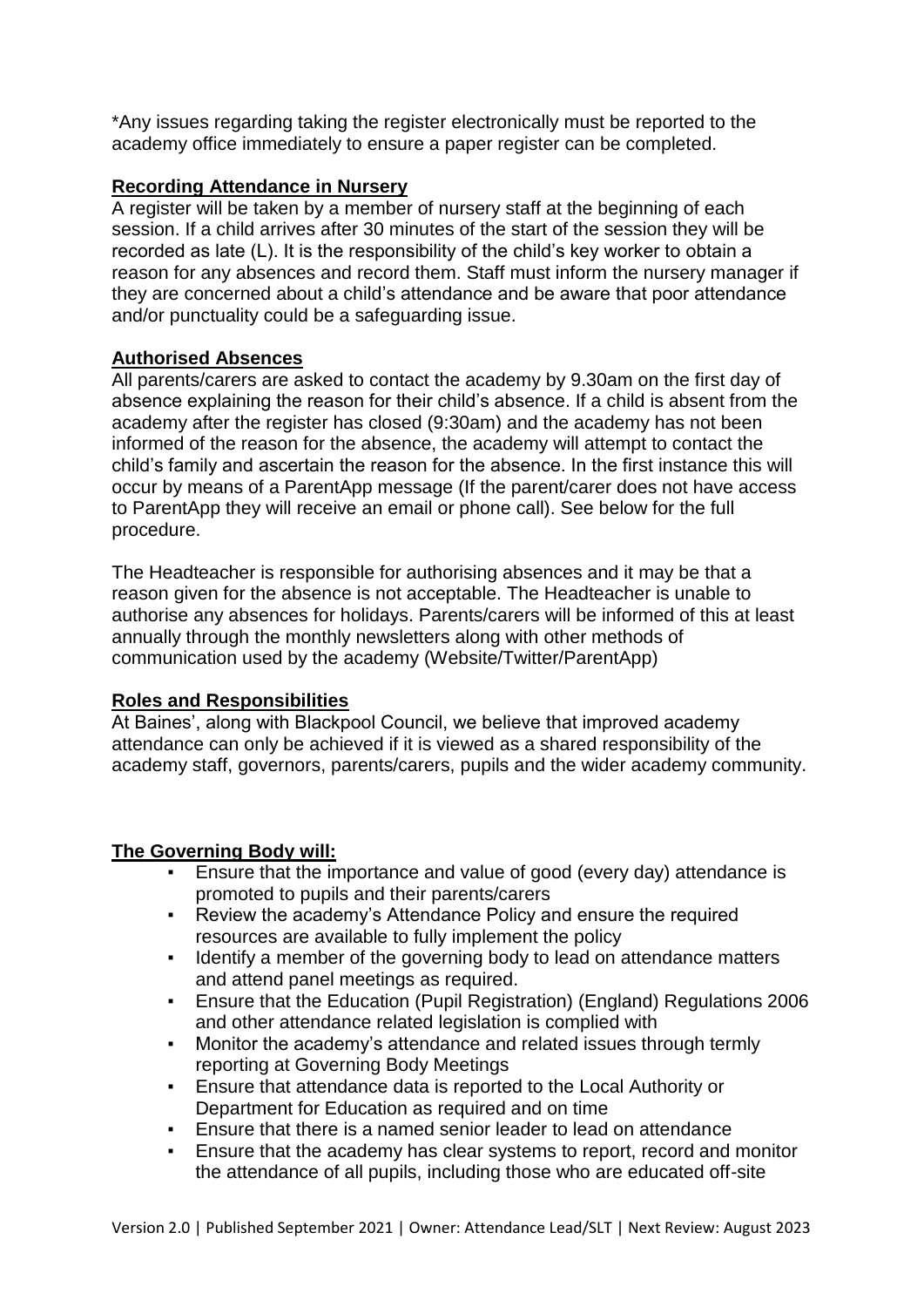\*Any issues regarding taking the register electronically must be reported to the academy office immediately to ensure a paper register can be completed.

# **Recording Attendance in Nursery**

A register will be taken by a member of nursery staff at the beginning of each session. If a child arrives after 30 minutes of the start of the session they will be recorded as late (L). It is the responsibility of the child's key worker to obtain a reason for any absences and record them. Staff must inform the nursery manager if they are concerned about a child's attendance and be aware that poor attendance and/or punctuality could be a safeguarding issue.

# **Authorised Absences**

All parents/carers are asked to contact the academy by 9.30am on the first day of absence explaining the reason for their child's absence. If a child is absent from the academy after the register has closed (9:30am) and the academy has not been informed of the reason for the absence, the academy will attempt to contact the child's family and ascertain the reason for the absence. In the first instance this will occur by means of a ParentApp message (If the parent/carer does not have access to ParentApp they will receive an email or phone call). See below for the full procedure.

The Headteacher is responsible for authorising absences and it may be that a reason given for the absence is not acceptable. The Headteacher is unable to authorise any absences for holidays. Parents/carers will be informed of this at least annually through the monthly newsletters along with other methods of communication used by the academy (Website/Twitter/ParentApp)

# **Roles and Responsibilities**

At Baines', along with Blackpool Council, we believe that improved academy attendance can only be achieved if it is viewed as a shared responsibility of the academy staff, governors, parents/carers, pupils and the wider academy community.

# **The Governing Body will:**

- Ensure that the importance and value of good (every day) attendance is promoted to pupils and their parents/carers
- Review the academy's Attendance Policy and ensure the required resources are available to fully implement the policy
- Identify a member of the governing body to lead on attendance matters and attend panel meetings as required.
- Ensure that the Education (Pupil Registration) (England) Regulations 2006 and other attendance related legislation is complied with
- Monitor the academy's attendance and related issues through termly reporting at Governing Body Meetings
- Ensure that attendance data is reported to the Local Authority or Department for Education as required and on time
- **Ensure that there is a named senior leader to lead on attendance**
- Ensure that the academy has clear systems to report, record and monitor the attendance of all pupils, including those who are educated off-site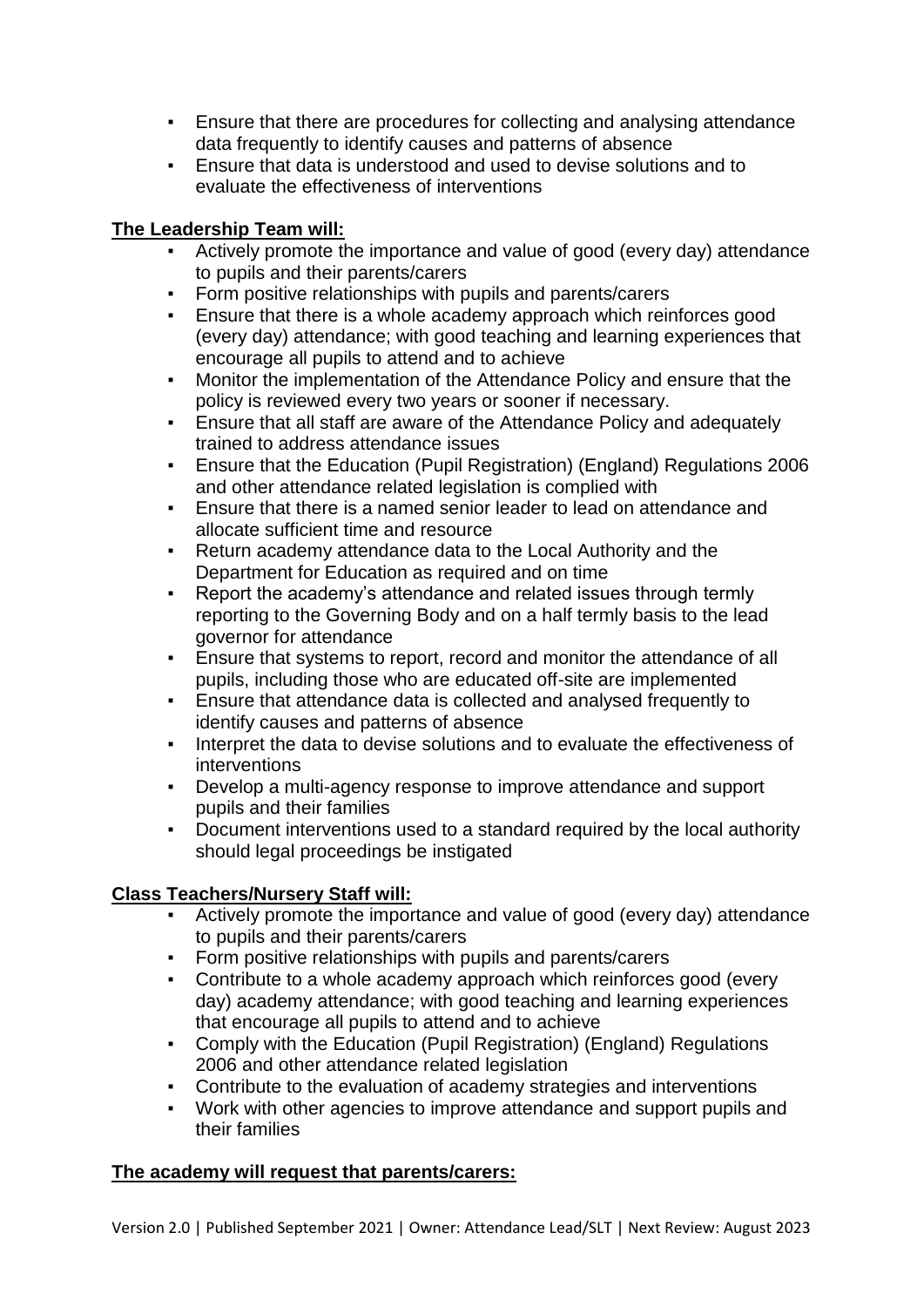- Ensure that there are procedures for collecting and analysing attendance data frequently to identify causes and patterns of absence
- Ensure that data is understood and used to devise solutions and to evaluate the effectiveness of interventions

# **The Leadership Team will:**

- Actively promote the importance and value of good (every day) attendance to pupils and their parents/carers
- Form positive relationships with pupils and parents/carers
- **Ensure that there is a whole academy approach which reinforces good** (every day) attendance; with good teaching and learning experiences that encourage all pupils to attend and to achieve
- Monitor the implementation of the Attendance Policy and ensure that the policy is reviewed every two years or sooner if necessary.
- Ensure that all staff are aware of the Attendance Policy and adequately trained to address attendance issues
- Ensure that the Education (Pupil Registration) (England) Regulations 2006 and other attendance related legislation is complied with
- Ensure that there is a named senior leader to lead on attendance and allocate sufficient time and resource
- Return academy attendance data to the Local Authority and the Department for Education as required and on time
- Report the academy's attendance and related issues through termly reporting to the Governing Body and on a half termly basis to the lead governor for attendance
- Ensure that systems to report, record and monitor the attendance of all pupils, including those who are educated off-site are implemented
- Ensure that attendance data is collected and analysed frequently to identify causes and patterns of absence
- Interpret the data to devise solutions and to evaluate the effectiveness of interventions
- Develop a multi-agency response to improve attendance and support pupils and their families
- Document interventions used to a standard required by the local authority should legal proceedings be instigated

# **Class Teachers/Nursery Staff will:**

- Actively promote the importance and value of good (every day) attendance to pupils and their parents/carers
- Form positive relationships with pupils and parents/carers
- Contribute to a whole academy approach which reinforces good (every day) academy attendance; with good teaching and learning experiences that encourage all pupils to attend and to achieve
- Comply with the Education (Pupil Registration) (England) Regulations 2006 and other attendance related legislation
- Contribute to the evaluation of academy strategies and interventions
- Work with other agencies to improve attendance and support pupils and their families

# **The academy will request that parents/carers:**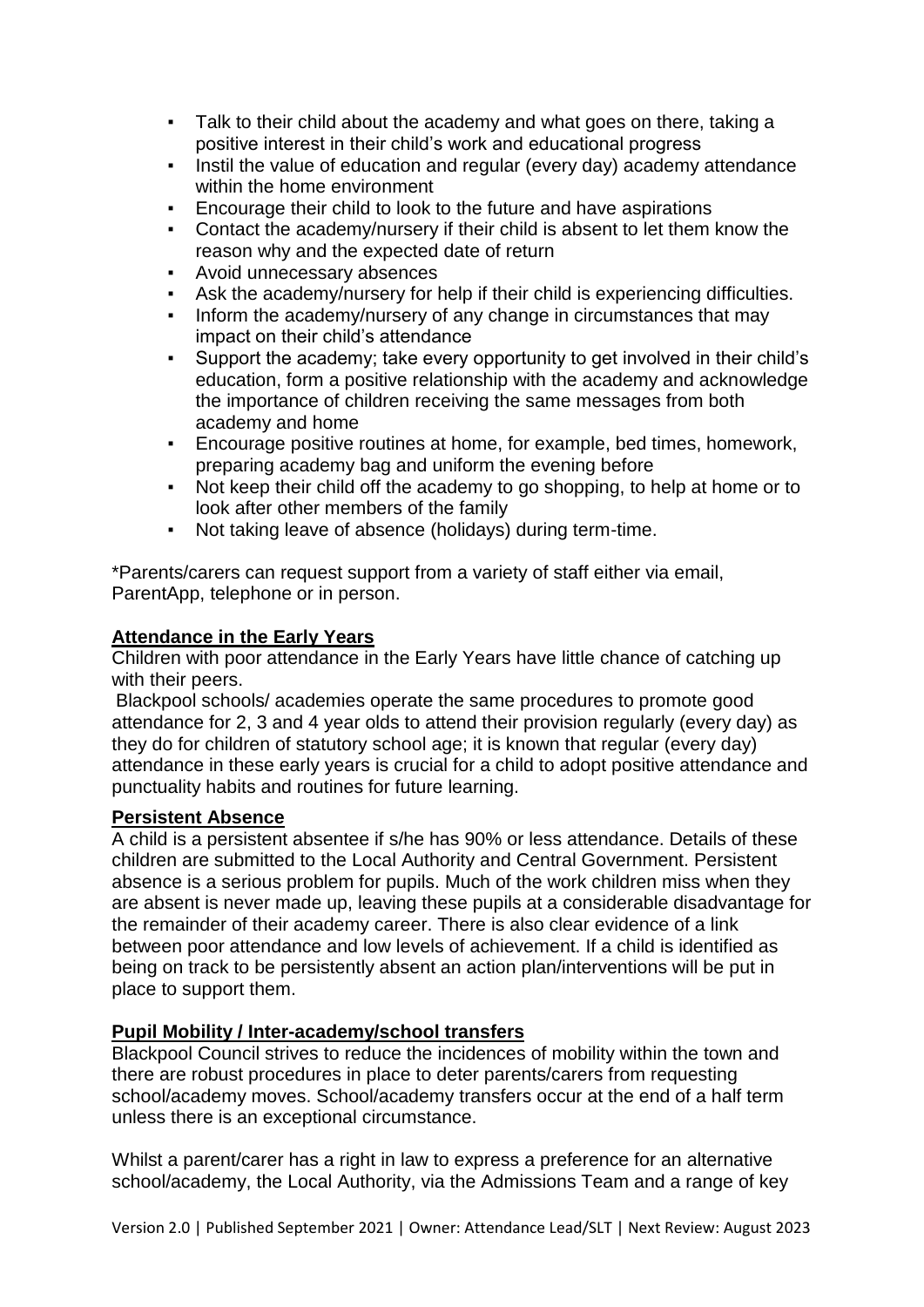- Talk to their child about the academy and what goes on there, taking a positive interest in their child's work and educational progress
- Instil the value of education and regular (every day) academy attendance within the home environment
- Encourage their child to look to the future and have aspirations
- Contact the academy/nursery if their child is absent to let them know the reason why and the expected date of return
- Avoid unnecessary absences
- Ask the academy/nursery for help if their child is experiencing difficulties.
- Inform the academy/nursery of any change in circumstances that may impact on their child's attendance
- Support the academy; take every opportunity to get involved in their child's education, form a positive relationship with the academy and acknowledge the importance of children receiving the same messages from both academy and home
- Encourage positive routines at home, for example, bed times, homework, preparing academy bag and uniform the evening before
- Not keep their child off the academy to go shopping, to help at home or to look after other members of the family
- Not taking leave of absence (holidays) during term-time.

\*Parents/carers can request support from a variety of staff either via email, ParentApp, telephone or in person.

# **Attendance in the Early Years**

Children with poor attendance in the Early Years have little chance of catching up with their peers.

 Blackpool schools/ academies operate the same procedures to promote good attendance for 2, 3 and 4 year olds to attend their provision regularly (every day) as they do for children of statutory school age; it is known that regular (every day) attendance in these early years is crucial for a child to adopt positive attendance and punctuality habits and routines for future learning.

# **Persistent Absence**

A child is a persistent absentee if s/he has 90% or less attendance. Details of these children are submitted to the Local Authority and Central Government. Persistent absence is a serious problem for pupils. Much of the work children miss when they are absent is never made up, leaving these pupils at a considerable disadvantage for the remainder of their academy career. There is also clear evidence of a link between poor attendance and low levels of achievement. If a child is identified as being on track to be persistently absent an action plan/interventions will be put in place to support them.

# **Pupil Mobility / Inter-academy/school transfers**

Blackpool Council strives to reduce the incidences of mobility within the town and there are robust procedures in place to deter parents/carers from requesting school/academy moves. School/academy transfers occur at the end of a half term unless there is an exceptional circumstance.

Whilst a parent/carer has a right in law to express a preference for an alternative school/academy, the Local Authority, via the Admissions Team and a range of key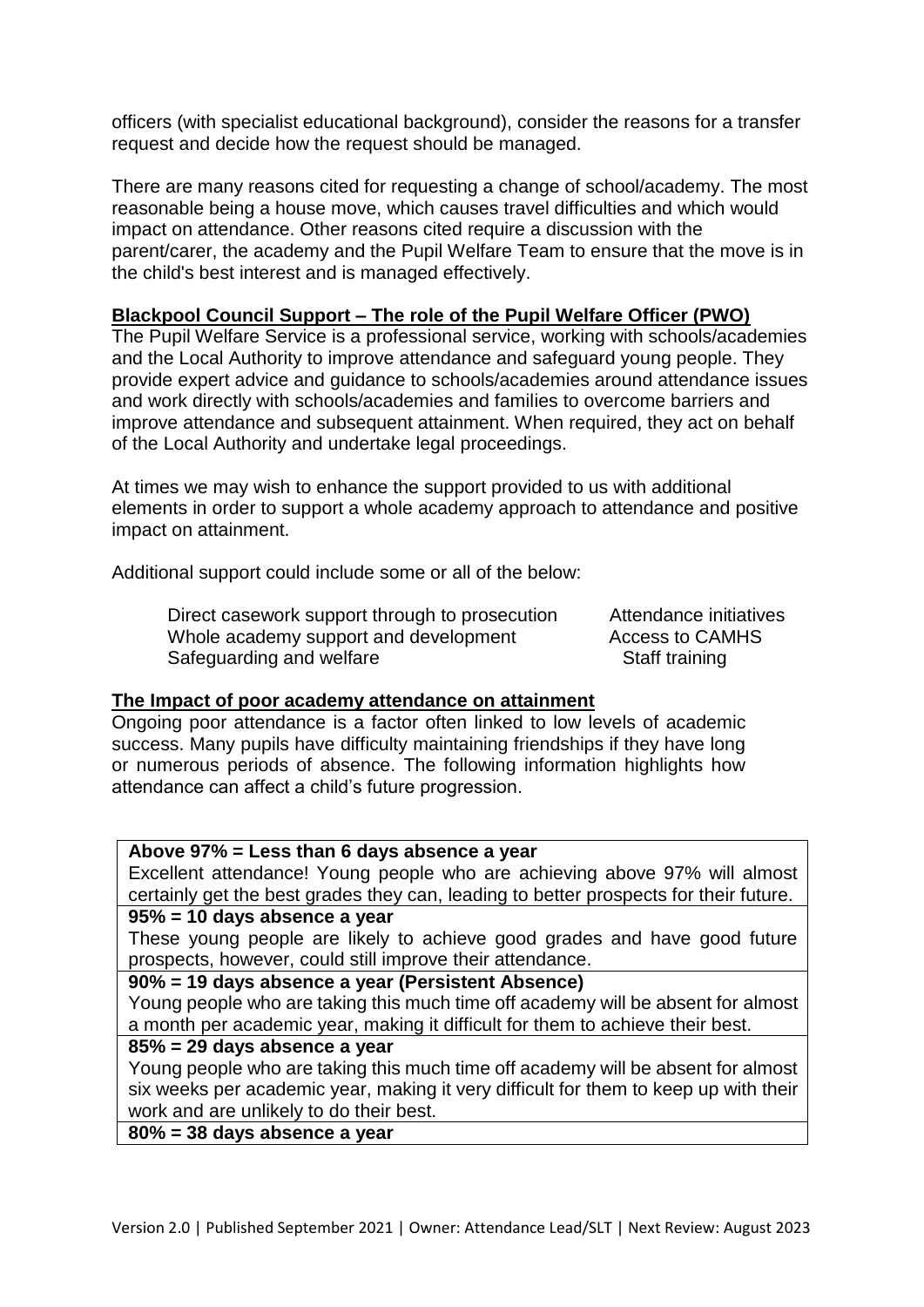officers (with specialist educational background), consider the reasons for a transfer request and decide how the request should be managed.

There are many reasons cited for requesting a change of school/academy. The most reasonable being a house move, which causes travel difficulties and which would impact on attendance. Other reasons cited require a discussion with the parent/carer, the academy and the Pupil Welfare Team to ensure that the move is in the child's best interest and is managed effectively.

# **Blackpool Council Support – The role of the Pupil Welfare Officer (PWO)**

The Pupil Welfare Service is a professional service, working with schools/academies and the Local Authority to improve attendance and safeguard young people. They provide expert advice and guidance to schools/academies around attendance issues and work directly with schools/academies and families to overcome barriers and improve attendance and subsequent attainment. When required, they act on behalf of the Local Authority and undertake legal proceedings.

At times we may wish to enhance the support provided to us with additional elements in order to support a whole academy approach to attendance and positive impact on attainment.

Additional support could include some or all of the below:

Direct casework support through to prosecution Attendance initiatives Whole academy support and development Access to CAMHS Safeguarding and welfare Staff training

#### **The Impact of poor academy attendance on attainment**

Ongoing poor attendance is a factor often linked to low levels of academic success. Many pupils have difficulty maintaining friendships if they have long or numerous periods of absence. The following information highlights how attendance can affect a child's future progression.

# **Above 97% = Less than 6 days absence a year**

Excellent attendance! Young people who are achieving above 97% will almost certainly get the best grades they can, leading to better prospects for their future.

#### **95% = 10 days absence a year**

These young people are likely to achieve good grades and have good future prospects, however, could still improve their attendance.

#### **90% = 19 days absence a year (Persistent Absence)**

Young people who are taking this much time off academy will be absent for almost a month per academic year, making it difficult for them to achieve their best.

#### **85% = 29 days absence a year**

Young people who are taking this much time off academy will be absent for almost six weeks per academic year, making it very difficult for them to keep up with their work and are unlikely to do their best.

# **80% = 38 days absence a year**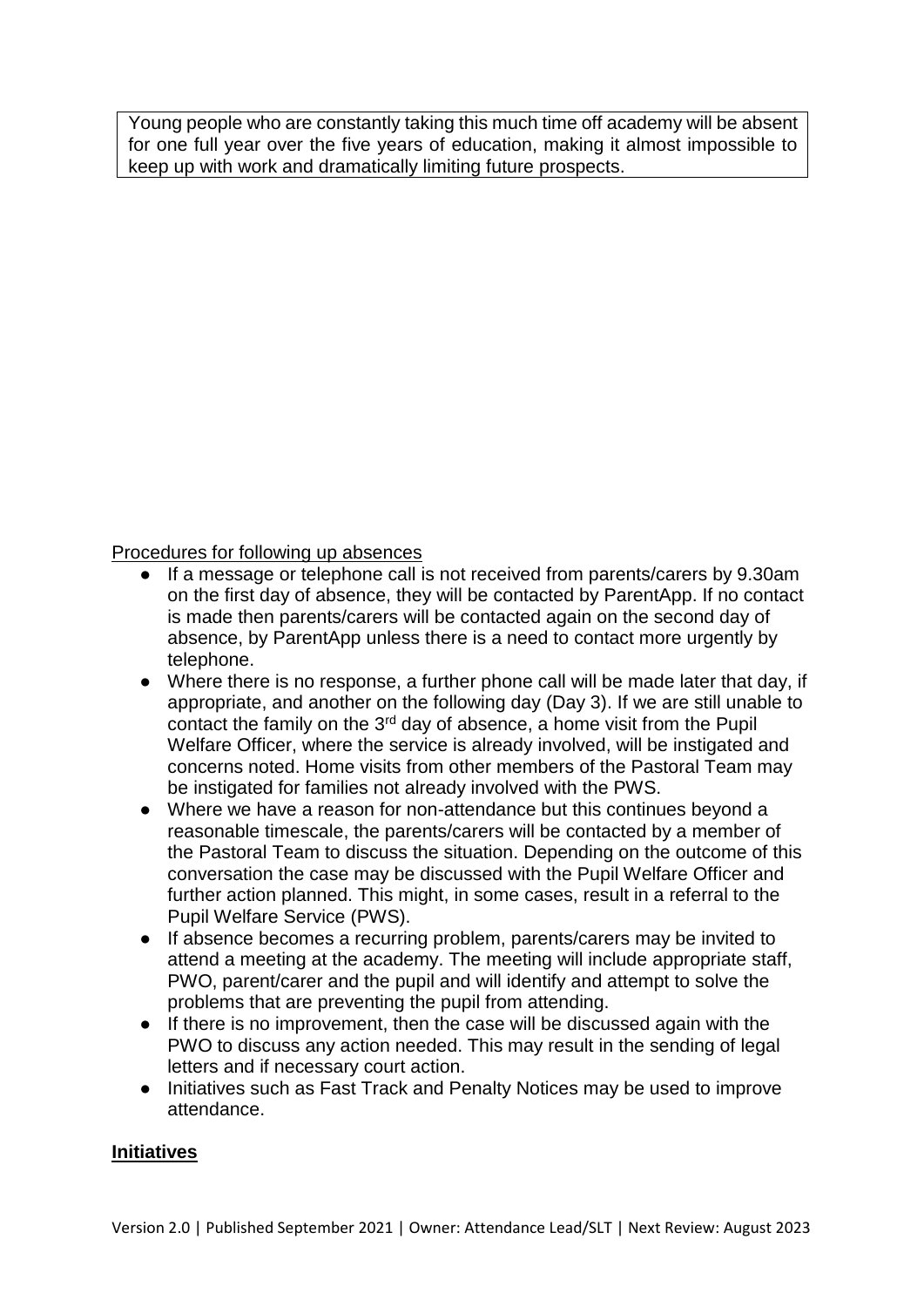Young people who are constantly taking this much time off academy will be absent for one full year over the five years of education, making it almost impossible to keep up with work and dramatically limiting future prospects.

# Procedures for following up absences

- If a message or telephone call is not received from parents/carers by 9.30am on the first day of absence, they will be contacted by ParentApp. If no contact is made then parents/carers will be contacted again on the second day of absence, by ParentApp unless there is a need to contact more urgently by telephone.
- Where there is no response, a further phone call will be made later that day, if appropriate, and another on the following day (Day 3). If we are still unable to contact the family on the 3<sup>rd</sup> day of absence, a home visit from the Pupil Welfare Officer, where the service is already involved, will be instigated and concerns noted. Home visits from other members of the Pastoral Team may be instigated for families not already involved with the PWS.
- Where we have a reason for non-attendance but this continues beyond a reasonable timescale, the parents/carers will be contacted by a member of the Pastoral Team to discuss the situation. Depending on the outcome of this conversation the case may be discussed with the Pupil Welfare Officer and further action planned. This might, in some cases, result in a referral to the Pupil Welfare Service (PWS).
- If absence becomes a recurring problem, parents/carers may be invited to attend a meeting at the academy. The meeting will include appropriate staff, PWO, parent/carer and the pupil and will identify and attempt to solve the problems that are preventing the pupil from attending.
- If there is no improvement, then the case will be discussed again with the PWO to discuss any action needed. This may result in the sending of legal letters and if necessary court action.
- Initiatives such as Fast Track and Penalty Notices may be used to improve attendance.

# **Initiatives**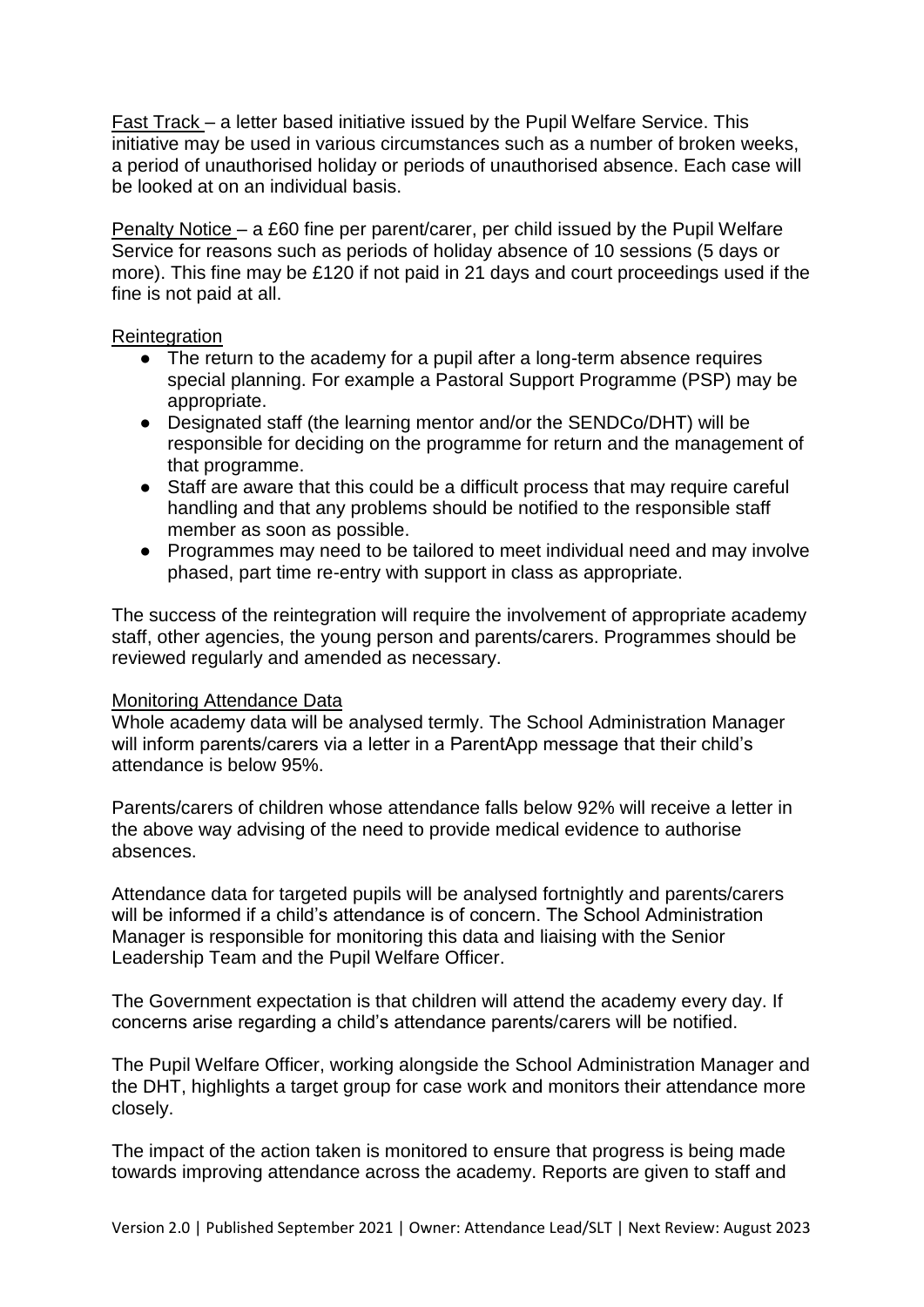Fast Track – a letter based initiative issued by the Pupil Welfare Service. This initiative may be used in various circumstances such as a number of broken weeks, a period of unauthorised holiday or periods of unauthorised absence. Each case will be looked at on an individual basis.

Penalty Notice – a £60 fine per parent/carer, per child issued by the Pupil Welfare Service for reasons such as periods of holiday absence of 10 sessions (5 days or more). This fine may be £120 if not paid in 21 days and court proceedings used if the fine is not paid at all.

#### **Reintegration**

- The return to the academy for a pupil after a long-term absence requires special planning. For example a Pastoral Support Programme (PSP) may be appropriate.
- Designated staff (the learning mentor and/or the SENDCo/DHT) will be responsible for deciding on the programme for return and the management of that programme.
- Staff are aware that this could be a difficult process that may require careful handling and that any problems should be notified to the responsible staff member as soon as possible.
- Programmes may need to be tailored to meet individual need and may involve phased, part time re-entry with support in class as appropriate.

The success of the reintegration will require the involvement of appropriate academy staff, other agencies, the young person and parents/carers. Programmes should be reviewed regularly and amended as necessary.

#### Monitoring Attendance Data

Whole academy data will be analysed termly. The School Administration Manager will inform parents/carers via a letter in a ParentApp message that their child's attendance is below 95%.

Parents/carers of children whose attendance falls below 92% will receive a letter in the above way advising of the need to provide medical evidence to authorise absences.

Attendance data for targeted pupils will be analysed fortnightly and parents/carers will be informed if a child's attendance is of concern. The School Administration Manager is responsible for monitoring this data and liaising with the Senior Leadership Team and the Pupil Welfare Officer.

The Government expectation is that children will attend the academy every day. If concerns arise regarding a child's attendance parents/carers will be notified.

The Pupil Welfare Officer, working alongside the School Administration Manager and the DHT, highlights a target group for case work and monitors their attendance more closely.

The impact of the action taken is monitored to ensure that progress is being made towards improving attendance across the academy. Reports are given to staff and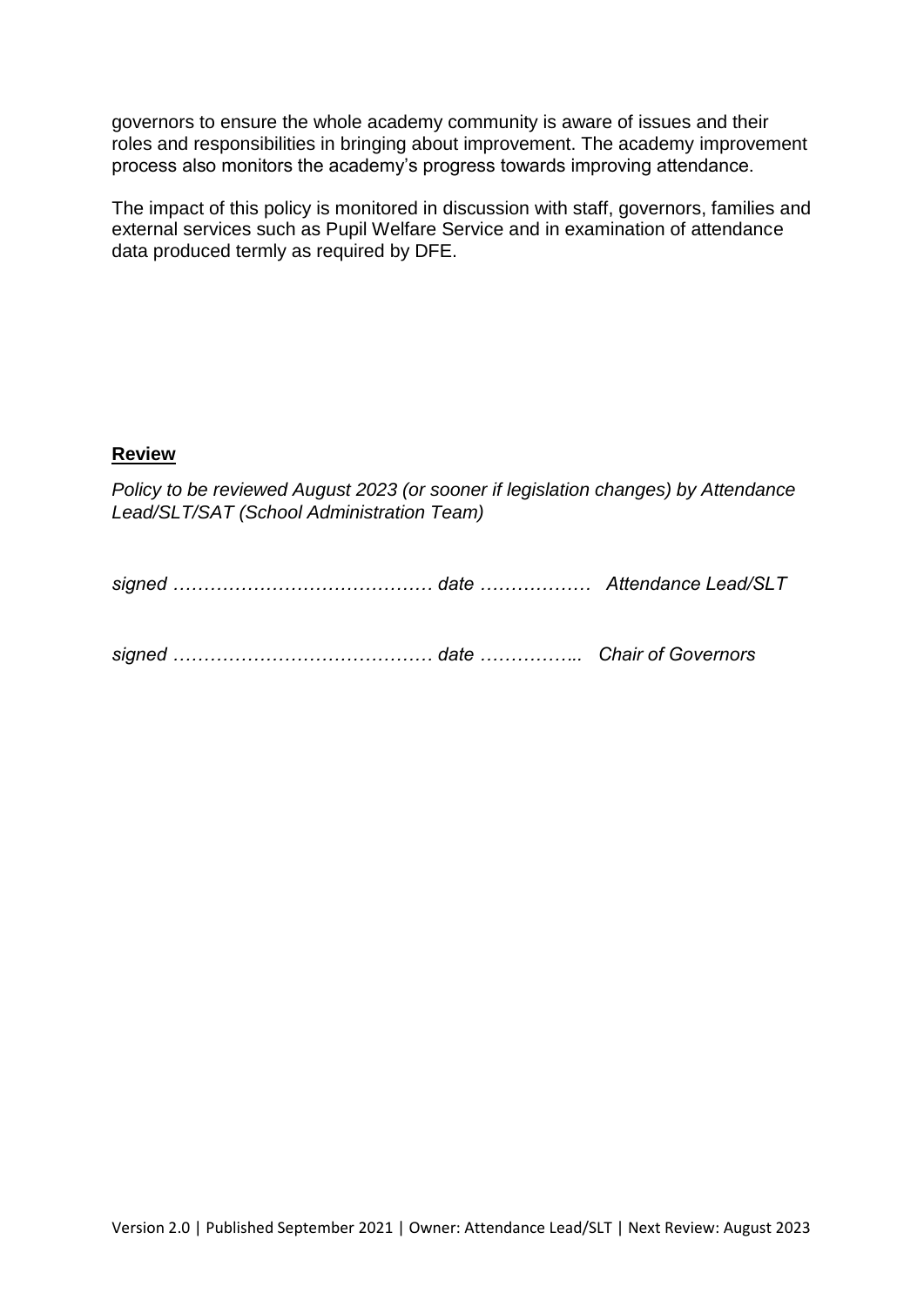governors to ensure the whole academy community is aware of issues and their roles and responsibilities in bringing about improvement. The academy improvement process also monitors the academy's progress towards improving attendance.

The impact of this policy is monitored in discussion with staff, governors, families and external services such as Pupil Welfare Service and in examination of attendance data produced termly as required by DFE.

# **Review**

*Policy to be reviewed August 2023 (or sooner if legislation changes) by Attendance Lead/SLT/SAT (School Administration Team)*

*signed …………………………………… date …………….. Chair of Governors*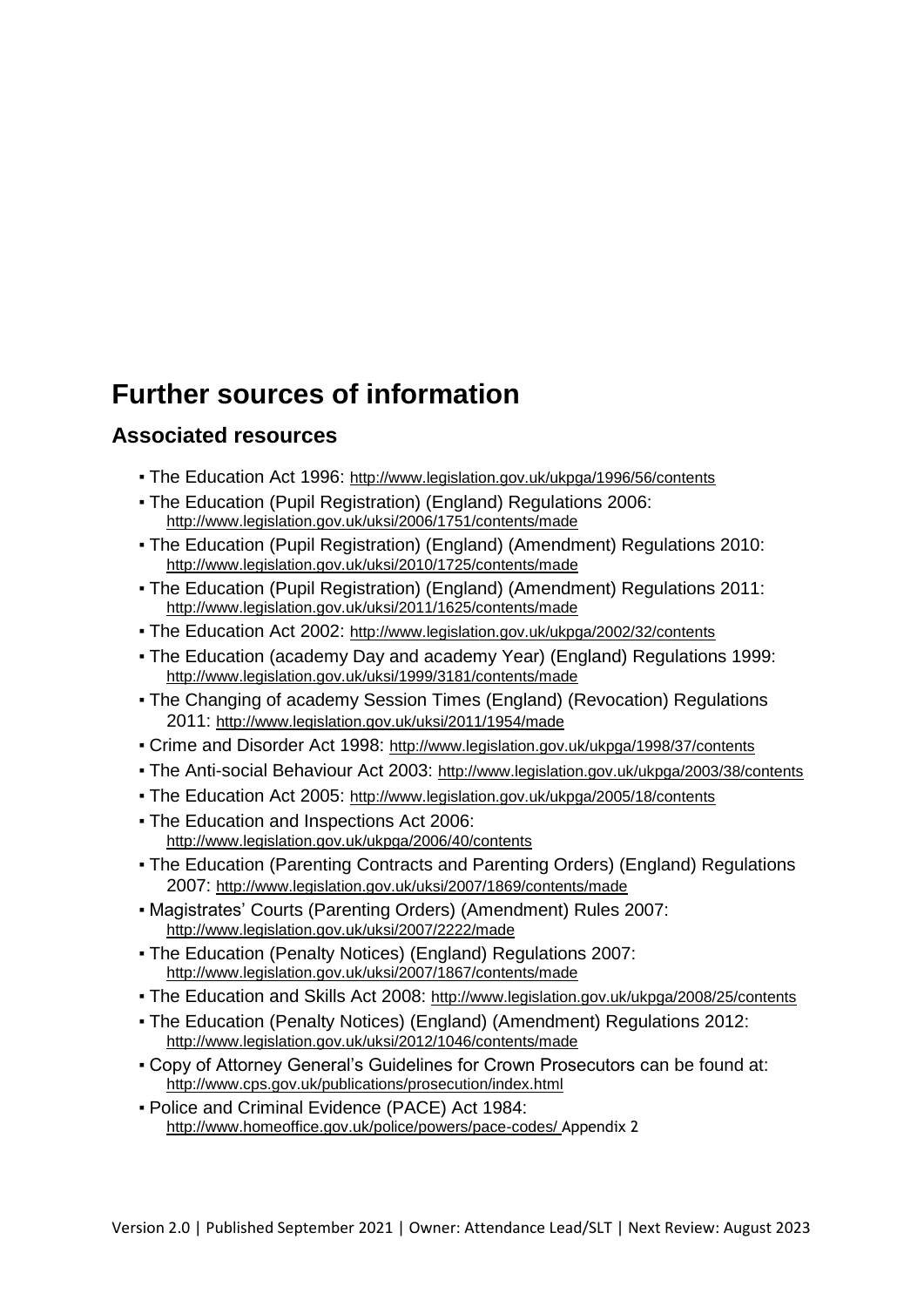# **Further sources of information**

# **Associated resources**

- . The Education Act 1996: http://www.legislation.gov.uk/ukpga/1996/56/contents
- The Education (Pupil Registration) (England) Regulations 2006: http://www.legislation.gov.uk/uksi/2006/1751/contents/made
- The Education (Pupil Registration) (England) (Amendment) Regulations 2010: http://www.legislation.gov.uk/uksi/2010/1725/contents/made
- The Education (Pupil Registration) (England) (Amendment) Regulations 2011: http://www.legislation.gov.uk/uksi/2011/1625/contents/made
- The Education Act 2002: http://www.legislation.gov.uk/ukpga/2002/32/contents
- The Education (academy Day and academy Year) (England) Regulations 1999: http://www.legislation.gov.uk/uksi/1999/3181/contents/made
- The Changing of academy Session Times (England) (Revocation) Regulations 2011: http://www.legislation.gov.uk/uksi/2011/1954/made
- Crime and Disorder Act 1998: http://www.legislation.gov.uk/ukpga/1998/37/contents
- The Anti-social Behaviour Act 2003: http://www.legislation.gov.uk/ukpga/2003/38/contents
- The Education Act 2005: http://www.legislation.gov.uk/ukpga/2005/18/contents
- The Education and Inspections Act 2006: http://www.legislation.gov.uk/ukpga/2006/40/contents
- The Education (Parenting Contracts and Parenting Orders) (England) Regulations 2007: http://www.legislation.gov.uk/uksi/2007/1869/contents/made
- Magistrates' Courts (Parenting Orders) (Amendment) Rules 2007: http://www.legislation.gov.uk/uksi/2007/2222/made
- The Education (Penalty Notices) (England) Regulations 2007: http://www.legislation.gov.uk/uksi/2007/1867/contents/made
- The Education and Skills Act 2008: http://www.legislation.gov.uk/ukpga/2008/25/contents
- The Education (Penalty Notices) (England) (Amendment) Regulations 2012: http://www.legislation.gov.uk/uksi/2012/1046/contents/made
- Copy of Attorney General's Guidelines for Crown Prosecutors can be found at: http://www.cps.gov.uk/publications/prosecution/index.html
- Police and Criminal Evidence (PACE) Act 1984: http://www.homeoffice.gov.uk/police/powers/pace-codes/ Appendix 2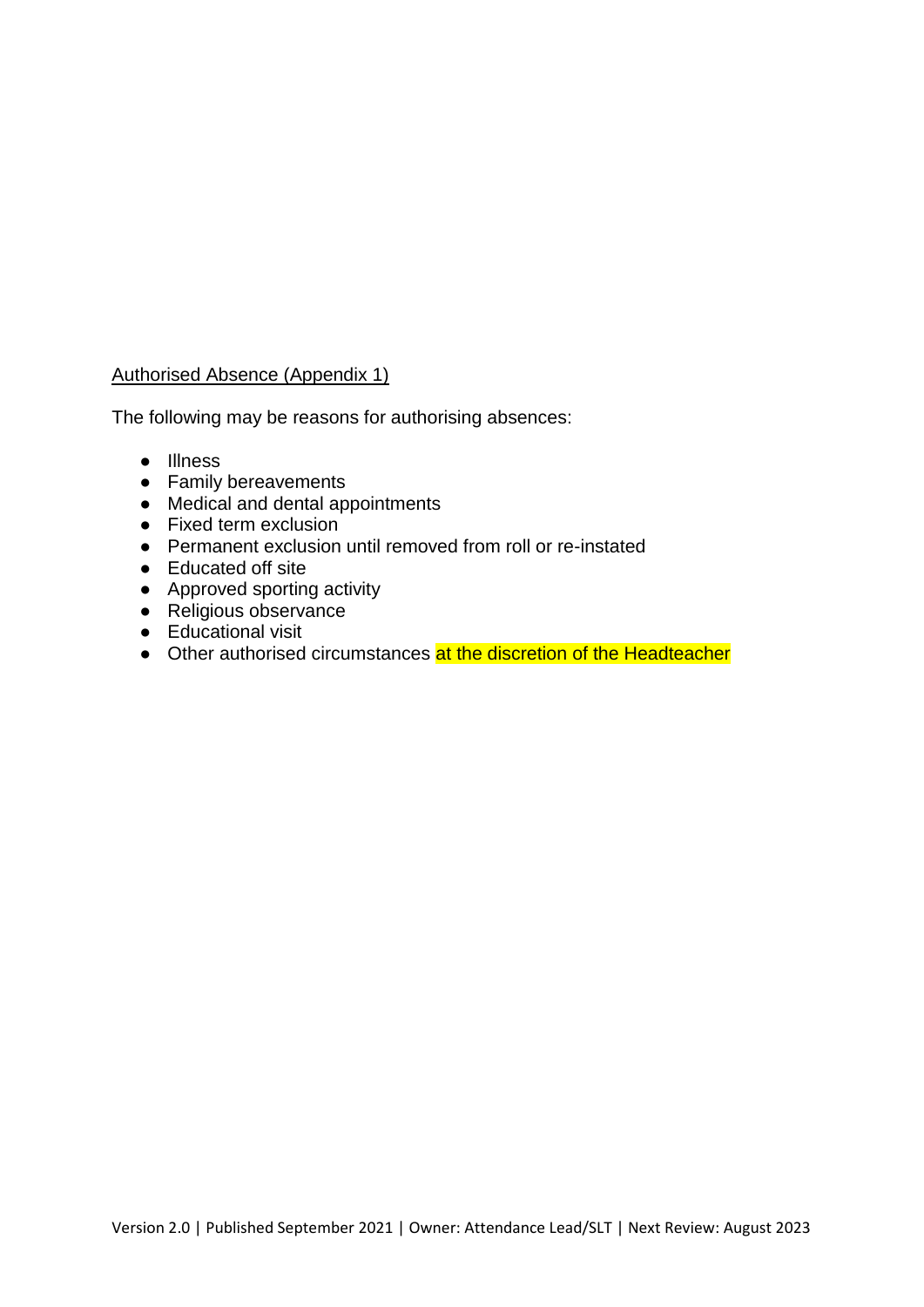# Authorised Absence (Appendix 1)

The following may be reasons for authorising absences:

- Illness
- Family bereavements
- Medical and dental appointments
- Fixed term exclusion
- Permanent exclusion until removed from roll or re-instated
- Educated off site
- Approved sporting activity
- Religious observance
- Educational visit
- Other authorised circumstances at the discretion of the Headteacher